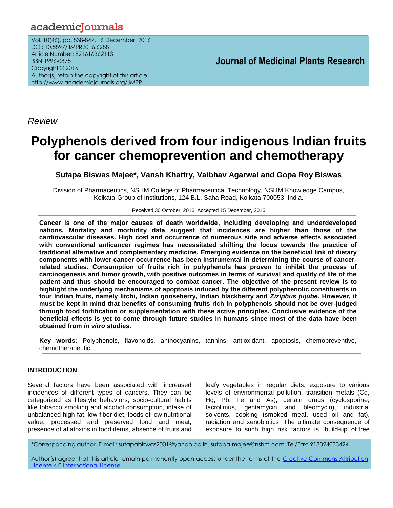# academicJournals

Vol. 10(46), pp. 838-847, 16 December, 2016 DOI: 10.5897/JMPR2016.6288 Article Number: 821616B62113 ISSN 1996-0875 Copyright © 2016 Author(s) retain the copyright of this article http://www.academicjournals.org/JMPR

 **Journal of Medicinal Plants Research**

*Review*

# **Polyphenols derived from four indigenous Indian fruits for cancer chemoprevention and chemotherapy**

**Sutapa Biswas Majee\*, Vansh Khattry, Vaibhav Agarwal and Gopa Roy Biswas**

Division of Pharmaceutics, NSHM College of Pharmaceutical Technology, NSHM Knowledge Campus, Kolkata-Group of Institutions, 124 B.L. Saha Road, Kolkata 700053, India.

Received 30 October, 2016; Accepted 15 December, 2016

**Cancer is one of the major causes of death worldwide, including developing and underdeveloped nations. Mortality and morbidity data suggest that incidences are higher than those of the cardiovascular diseases. High cost and occurrence of numerous side and adverse effects associated with conventional anticancer regimes has necessitated shifting the focus towards the practice of traditional alternative and complementary medicine. Emerging evidence on the beneficial link of dietary components with lower cancer occurrence has been instrumental in determining the course of cancerrelated studies. Consumption of fruits rich in polyphenols has proven to inhibit the process of carcinogenesis and tumor growth, with positive outcomes in terms of survival and quality of life of the patient and thus should be encouraged to combat cancer. The objective of the present review is to highlight the underlying mechanisms of apoptosis induced by the different polyphenolic constituents in four Indian fruits, namely litchi, Indian gooseberry, Indian blackberry and** *Ziziphus jujube***. However, it must be kept in mind that benefits of consuming fruits rich in polyphenols should not be over-judged through food fortification or supplementation with these active principles. Conclusive evidence of the beneficial effects is yet to come through future studies in humans since most of the data have been obtained from** *in vitro* **studies.**

**Key words:** Polyphenols, flavonoids, anthocyanins, tannins, antioxidant, apoptosis, chemopreventive, chemotherapeutic.

# **INTRODUCTION**

Several factors have been associated with increased incidences of different types of cancers. They can be categorized as lifestyle behaviors, socio-cultural habits like tobacco smoking and alcohol consumption, intake of unbalanced high-fat, low-fiber diet, foods of low nutritional value, processed and preserved food and meat, presence of aflatoxins in food items, absence of fruits and leafy vegetables in regular diets, exposure to various levels of environmental pollution, transition metals (Cd, Hg, Pb, Fe and As), certain drugs (cyclosporine, tacrolimus, gentamycin and bleomycin), industrial solvents, cooking (smoked meat, used oil and fat), radiation and xenobiotics. The ultimate consequence of exposure to such high risk factors is "build-up" of free

\*Corresponding author. E-mail: sutapabiswas2001@yahoo.co.in, sutapa.majee@nshm.com. Tel/Fax: 913324033424

Author(s) agree that this article remain permanently open access under the terms of the Creative Commons Attribution License 4.0 [International](http://creativecommons.org/licenses/by/4.0/deed.en_US) License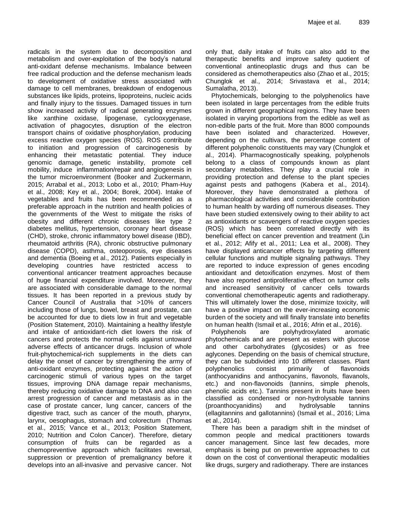radicals in the system due to decomposition and metabolism and over-exploitation of the body"s natural anti-oxidant defense mechanisms. Imbalance between free radical production and the defense mechanism leads to development of oxidative stress associated with damage to cell membranes, breakdown of endogenous substances like lipids, proteins, lipoproteins, nucleic acids and finally injury to the tissues. Damaged tissues in turn show increased activity of radical generating enzymes like xanthine oxidase, lipogenase, cyclooxygenase, activation of phagocytes, disruption of the electron transport chains of oxidative phosphorylation, producing excess reactive oxygen species (ROS). ROS contribute to initiation and progression of carcinogenesis by enhancing their metastatic potential. They induce genomic damage, genetic instability, promote cell mobility, induce inflammation/repair and angiogenesis in the tumor microenvironment (Booker and Zuckermann, 2015; Arrabal et al., 2013; Lobo et al., 2010; Pham-Huy et al., 2008; Key et al., 2004; Borek, 2004). Intake of vegetables and fruits has been recommended as a preferable approach in the nutrition and health policies of the governments of the West to mitigate the risks of obesity and different chronic diseases like type 2 diabetes mellitus, hypertension, coronary heart disease (CHD), stroke, chronic inflammatory bowel disease (IBD), rheumatoid arthritis (RA), chronic obstructive pulmonary disease (COPD), asthma, osteoporosis, eye diseases and dementia (Boeing et al., 2012). Patients especially in developing countries have restricted access to conventional anticancer treatment approaches because of huge financial expenditure involved. Moreover, they are associated with considerable damage to the normal tissues. It has been reported in a previous study by Cancer Council of Australia that >10% of cancers including those of lungs, bowel, breast and prostate, can be accounted for due to diets low in fruit and vegetable (Position Statement, 2010). Maintaining a healthy lifestyle and intake of antioxidant-rich diet lowers the risk of cancers and protects the normal cells against untoward adverse effects of anticancer drugs. Inclusion of whole fruit-phytochemical-rich supplements in the diets can delay the onset of cancer by strengthening the army of anti-oxidant enzymes, protecting against the action of carcinogenic stimuli of various types on the target tissues, improving DNA damage repair mechanisms, thereby reducing oxidative damage to DNA and also can arrest progression of cancer and metastasis as in the case of prostate cancer, lung cancer, cancers of the digestive tract, such as cancer of the mouth, pharynx, larynx, oesophagus, stomach and colorectum (Thomas et al., 2015; Vance et al., 2013; Position Statement, 2010; Nutrition and Colon Cancer). Therefore, dietary consumption of fruits can be regarded as a chemopreventive approach which facilitates reversal, suppression or prevention of premalignancy before it develops into an all-invasive and pervasive cancer. Not

only that, daily intake of fruits can also add to the therapeutic benefits and improve safety quotient of conventional antineoplastic drugs and thus can be considered as chemotherapeutics also (Zhao et al., 2015; Chunglok et al., 2014; Srivastava et al., 2014; Sumalatha, 2013).

Phytochemicals, belonging to the polyphenolics have been isolated in large percentages from the edible fruits grown in different geographical regions. They have been isolated in varying proportions from the edible as well as non-edible parts of the fruit. More than 8000 compounds have been isolated and characterized. However, depending on the cultivars, the percentage content of different polyphenolic constituents may vary (Chunglok et al., 2014). Pharmacognostically speaking, polyphenols belong to a class of compounds known as plant secondary metabolites. They play a crucial role in providing protection and defense to the plant species against pests and pathogens (Kabera et al., 2014). Moreover, they have demonstrated a plethora of pharmacological activities and considerable contribution to human health by warding off numerous diseases. They have been studied extensively owing to their ability to act as antioxidants or scavengers of reactive oxygen species (ROS) which has been correlated directly with its beneficial effect on cancer prevention and treatment (Lin et al., 2012; Afify et al., 2011; Lea et al., 2008). They have displayed anticancer effects by targeting different cellular functions and multiple signaling pathways. They are reported to induce expression of genes encoding antioxidant and detoxification enzymes. Most of them have also reported antiproliferative effect on tumor cells and increased sensitivity of cancer cells towards conventional chemotherapeutic agents and radiotherapy. This will ultimately lower the dose, minimize toxicity, will have a positive impact on the ever-increasing economic burden of the society and will finally translate into benefits on human health (Ismail et al., 2016; Afrin et al., 2016).

Polyphenols are polyhydroxylated aromatic phytochemicals and are present as esters with glucose and other carbohydrates (glycosides) or as free aglycones. Depending on the basis of chemical structure, they can be subdivided into 10 different classes. Plant polyphenolics consist primarily of flavonoids (anthocyanidins and anthocyanins, flavonols, flavanols, etc.) and non-flavonoids (tannins, simple phenols, phenolic acids etc.). Tannins present in fruits have been classified as condensed or non-hydrolysable tannins (proanthocyanidins) and hydrolysable tannins (ellagitannins and gallotannins) (Ismail et al., 2016; Lima et al., 2014).

There has been a paradigm shift in the mindset of common people and medical practitioners towards cancer management. Since last few decades, more emphasis is being put on preventive approaches to cut down on the cost of conventional therapeutic modalities like drugs, surgery and radiotherapy. There are instances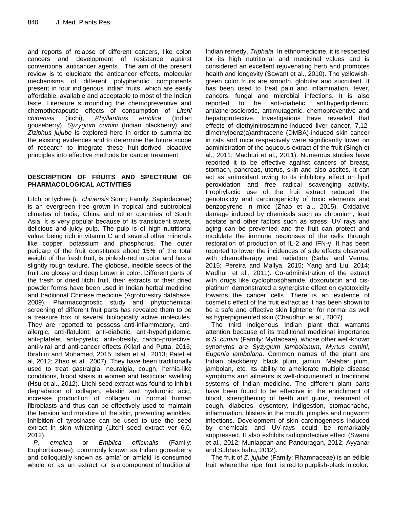and reports of relapse of different cancers, like colon cancers and development of resistance against conventional anticancer agents. The aim of the present review is to elucidate the anticancer effects, molecular mechanisms of different polyphenolic components present in four indigenous Indian fruits, which are easily affordable, available and acceptable to most of the Indian taste. Literature surrounding the chemopreventive and chemotherapeutic effects of consumption of *Litchi chinensis* (litchi), *Phyllanthus emblica* (Indian gooseberry), *Syzygium cumini* (Indian blackberry) and *Ziziphus jujube* is explored here in order to summarize the existing evidences and to determine the future scope of research to integrate these fruit-derived bioactive principles into effective methods for cancer treatment.

#### **DESCRIPTION OF FRUITS AND SPECTRUM OF PHARMACOLOGICAL ACTIVITIES**

Litchi or lychee (*L. chinensis* Sonn; Family: Sapindaceae) is an evergreen tree grown in tropical and subtropical climates of India, China and other countries of South Asia. It is very popular because of its translucent sweet, delicious and juicy pulp. The pulp is of high nutritional value, being rich in vitamin C and several other minerals like copper, potassium and phosphorus. The outer pericarp of the fruit constitutes about 15% of the total weight of the fresh fruit, is pinkish-red in color and has a slightly rough texture. The globose, inedible seeds of the fruit are glossy and deep brown in color. Different parts of the fresh or dried litchi fruit, their extracts or their dried powder forms have been used in Indian herbal medicine and traditional Chinese medicine (Agroforestry database, 2009). Pharmacognostic study and phytochemical screening of different fruit parts has revealed them to be a treasure box of several biologically active molecules. They are reported to possess anti-inflammatory, antiallergic, anti-flatulent, anti-diabetic, anti-hyperlipidemic, anti-platelet, anti-pyretic, anti-obesity, cardio-protective, anti-viral and anti-cancer effects (Kilari and Putta, 2016; Ibrahim and Mohamed, 2015; Islam et al., 2013; Patel et al, 2012; Zhao et al., 2007). They have been traditionally used to treat gastralgia, neuralgia, cough, hernia-like conditions, blood stasis in women and testicular swelling (Hsu et al., 2012). Litchi seed extract was found to inhibit degradation of collagen, elastin and hyaluronic acid, increase production of collagen in normal human fibroblasts and thus can be effectively used to maintain the tension and moisture of the skin, preventing wrinkles. Inhibition of tyrosinase can be used to use the seed extract in skin whitening (Litchi seed extract ver 6.0, 2012).

*P. emblica* or *Emblica officinalis* (Family: Euphorbiaceae), commonly known as Indian gooseberry and colloquially known as "amla" or "amlaki" is consumed whole or as an extract or is a component of traditional

Indian remedy, *Triphala*. In ethnomedicine, it is respected for its high nutritional and medicinal values and is considered an excellent rejuvenating herb and promotes health and longevity (Sawant et al., 2010). The yellowishgreen color fruits are smooth, globular and succulent. It has been used to treat pain and inflammation, fever, cancers, fungal and microbial infections. It is also reported to be anti-diabetic, antihyperlipidemic, antiatherosclerotic, antimutagenic, chemopreventive and hepatoprotective. Investigations have revealed that effects of diethylnitrosamine-induced liver cancer, 7,12 dimethylbenz(a)anthracene (DMBA)-induced skin cancer in rats and mice respectively were significantly lower on administration of the aqueous extract of the fruit (Singh et al., 2011; Madhuri et al., 2011). Numerous studies have reported it to be effective against cancers of breast, stomach, pancreas, uterus, skin and also ascites. It can act as antioxidant owing to its inhibitory effect on lipid peroxidation and free radical scavenging activity. Prophylactic use of the fruit extract reduced the genotoxicty and carcinogenicity of toxic elements and benzopyrene in mice (Zhao et al., 2015). Oxidative damage induced by chemicals such as chromium, lead acetate and other factors such as stress, UV rays and aging can be prevented and the fruit can protect and modulate the immune responses of the cells through restoration of production of IL-2 and IFN-γ. It has been reported to lower the incidences of side effects observed with chemotherapy and radiation (Saha and Verma, 2015; Pereira and Mallya, 2015; Yang and Liu, 2014; Madhuri et al., 2011). Co-administration of the extract with drugs like cyclophosphamide, doxorubicin and cisplatinum demonstrated a synergistic effect on cytotoxicity towards the cancer cells. There is an evidence of cosmetic effect of the fruit extract as it has been shown to be a safe and effective skin lightener for normal as well as hyperpigmented skin (Chaudhuri et al., 2007).

The third indigenous Indian plant that warrants attention because of its traditional medicinal importance is *S. cumini* (Family: Myrtaceae), whose other well-known synonyms are *Syzygium jambolanum*, *Myrtus cumini*, *Eugenia jambolana*. Common names of the plant are Indian blackberry, black plum, jamun, Malabar plum, jambolan, etc. Its ability to ameliorate multiple disease symptoms and ailments is well-documented in traditional systems of Indian medicine. The different plant parts have been found to be effective in the enrichment of blood, strengthening of teeth and gums, treatment of cough, diabetes, dysentery, indigestion, stomachache, inflammation, blisters in the mouth, pimples and ringworm infections. Development of skin carcinogenesis induced by chemicals and UV-rays could be remarkably suppressed. It also exhibits radioprotective effect (Swami et al., 2012; Muniappan and Panduragan, 2012; Ayyanar and Subhas babu, 2012).

The fruit of *Z. jujube* (Family: Rhamnaceae) is an edible fruit where the ripe fruit is red to purplish-black in color.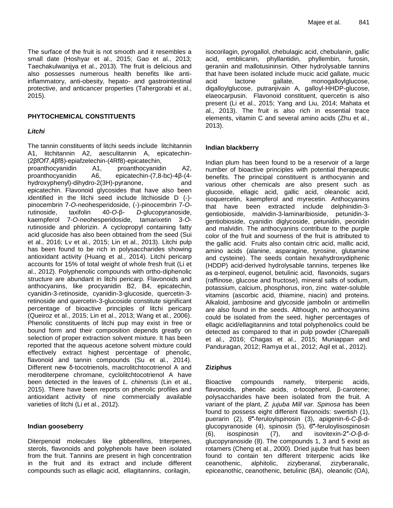The surface of the fruit is not smooth and it resembles a small date (Hoshyar et al., 2015; Gao et al., 2013; Taechakulwanijya et al., 2013). The fruit is delicious and also possesses numerous health benefits like antiinflammatory, anti-obesity, hepato- and gastrointestinal protective, and anticancer properties (Tahergorabi et al., 2015).

#### **PHYTOCHEMICAL CONSTITUENTS**

### *Litchi*

The tannin constituents of litchi seeds include litchitannin A1, litchitannin A2, aesculitannin A, epicatechin- (2βfOf7,4βf8)-epiafzelechin-(4Rf8)-epicatechin,

proanthocyanidin A1, proanthocyanidin A2, proanthocyanidin A6, epicatechin-(7,8-bc)-4β-(4 hydroxyphenyl)-dihydro-2(3H)-pyranone, and epicatechin. Flavonoid glycosides that have also been identified in the litchi seed include litchioside D (-) pinocembrin 7-*O*-neohesperidoside, (-)-pinocembrin 7-*O*rutinoside, taxifolin 40-*O*-β- *D*-glucopyranoside, kaempferol 7-*O*-neohesperidoside, tamarixetin 3-*O*rutinoside and phlorizin. A cyclopropyl containing fatty acid glucoside has also been obtained from the seed (Sui et al., 2016; Lv et al., 2015; Lin et al., 2013). Litchi pulp has been found to be rich in polysaccharides showing antioxidant activity (Huang et al., 2014). Litchi pericarp accounts for 15% of total weight of whole fresh fruit (Li et al., 2012). Polyphenolic compounds with ortho-diphenolic structure are abundant in litchi pericarp. Flavonoids and anthocyanins, like procyanidin B2, B4, epicatechin, cyanidin-3-retinoside, cyanidin-3-glucoside, quercetin-3 retinoside and quercetin-3-glucoside constitute significant percentage of bioactive principles of litchi pericarp (Queiroz et al., 2015; Lin et al., 2013; Wang et al., 2006). Phenolic constituents of litchi pup may exist in free or bound form and their composition depends greatly on selection of proper extraction solvent mixture. It has been reported that the aqueous acetone solvent mixture could effectively extract highest percentage of phenolic, flavonoid and tannin compounds (Su et al., 2014). Different new δ-tocotrienols, macrolitchtocotrienol A and meroditerpene chromane, cyclolitchtocotrienol A have been detected in the leaves of *L. chinensis* (Lin et al., 2015). There have been reports on phenolic profiles and antioxidant activity of nine commercially available varieties of litchi (Li et al., 2012).

#### **Indian gooseberry**

Diterpenoid molecules like gibberellins, triterpenes, sterols, flavonoids and polyphenols have been isolated from the fruit. Tannins are present in high concentration in the fruit and its extract and include different compounds such as ellagic acid, ellagitannins, corilagin,

isocorilagin, pyrogallol, chebulagic acid, chebulanin, gallic acid, emblicanin, phyllantidin, phyllembin, furosin, geraniin and mallotusininsin. Other hydrolysable tannins that have been isolated include mucic acid gallate, mucic acid lactone gallate, monogalloylglucose, digalloylglucose, putranjivain A, galloyl-HHDP-glucose, elaeocarpusin. Flavonoid constituent, quercetin is also present (Li et al., 2015; Yang and Liu, 2014; Mahata et al., 2013). The fruit is also rich in essential trace elements, vitamin C and several amino acids (Zhu et al., 2013).

### **Indian blackberry**

Indian plum has been found to be a reservoir of a large number of bioactive principles with potential therapeutic benefits. The principal constituent is anthocyanin and various other chemicals are also present such as glucoside, ellagic acid, gallic acid, oleanolic acid, isoquercetin, kaempferol and myrecetin. Anthocyanins that have been extracted include delphinidin-3 gentiobioside, malvidin-3-laminaribioside, petunidin-3 gentiobioside, cyanidin diglycoside, petunidin, peonidin and malvidin. The anthocyanins contribute to the purple color of the fruit and sourness of the fruit is attributed to the gallic acid. Fruits also contain citric acid, mallic acid, amino acids (alanine, asparagine, tyrosine, glutamine and cysteine). The seeds contain hexahydroxydiphenic (HDDP) acid-derived hydrolysable tannins, terpenes like as α-terpineol, eugenol, betulinic acid, flavonoids, sugars (raffinose, glucose and fructose), mineral salts of sodium, potassium, calcium, phosphorus, iron, zinc water-soluble vitamins (ascorbic acid, thiamine, niacin) and proteins. Alkaloid, jambosine and glycoside jambolin or antimellin are also found in the seeds. Although, no anthocyanins could be isolated from the seed, higher percentages of ellagic acid/ellagitannins and total polyphenolics could be detected as compared to that in pulp powder (Charepalli et al., 2016; Chagas et al., 2015; Muniappan and Panduragan, 2012; Ramya et al., 2012; Aqil et al., 2012).

# **Ziziphus**

Bioactive compounds namely, triterpenic acids, flavonoids, phenolic acids, α-tocopherol, β-carotene; polysaccharides have been isolated from the fruit. A variant of the plant, *Z. jujuba Mill var. Spinosa* has been found to possess eight different flavonoids: swertish (1), puerarin (2), 6‴-feruloylspinosin (3), apigenin-6-*C*-β-dglucopyranoside (4), spinosin (5), 6‴-feruloylisospinosin (6), isospinosin (7), and isovitexin-2″-*O*-β-dglucopyranoside (8). The compounds 1, 3 and 5 exist as rotamers (Cheng et al., 2000). Dried jujube fruit has been found to contain ten different triterpenic acids like ceanothenic, alphitolic, zizyberanal, zizyberanalic, epiceanothic, ceanothenic, betulinic (BA), oleanolic (OA),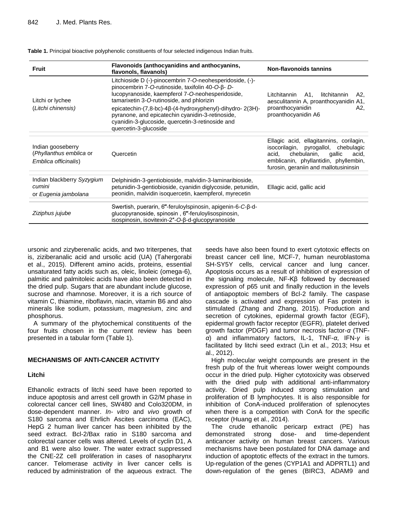| <b>Fruit</b>                                                         | Flavonoids (anthocyanidins and anthocyanins,<br><b>Non-flavonoids tannins</b><br>flavonols, flavanols)                                                                                                       |                                                                                                                                                                                                              |  |
|----------------------------------------------------------------------|--------------------------------------------------------------------------------------------------------------------------------------------------------------------------------------------------------------|--------------------------------------------------------------------------------------------------------------------------------------------------------------------------------------------------------------|--|
| Litchi or lychee<br>(Litchi chinensis)                               | Litchioside D (-)-pinocembrin 7-O-neohesperidoside, (-)-<br>pinocembrin 7-O-rutinoside, taxifolin 40-O-β-D-<br>lucopyranoside, kaempferol 7-O-neohesperidoside,<br>tamarixetin 3-O-rutinoside, and phlorizin | Litchitannin<br>A1.<br>litchitannin<br>A2,<br>aesculitannin A, proanthocyanidin A1,                                                                                                                          |  |
|                                                                      | epicatechin-(7,8-bc)-4β-(4-hydroxyphenyl)-dihydro- 2(3H)-<br>pyranone, and epicatechin cyanidin-3-retinoside,<br>cyanidin-3-glucoside, quercetin-3-retinoside and<br>quercetin-3-glucoside                   | proanthocyanidin<br>A2.<br>proanthocyanidin A6                                                                                                                                                               |  |
| Indian gooseberry<br>(Phyllanthus emblica or<br>Emblica officinalis) | Quercetin                                                                                                                                                                                                    | Ellagic acid, ellagitannins, corilagin,<br>isocorilagin, pyrogallol,<br>chebulagic<br>chebulanin, gallic<br>acid.<br>acid,<br>emblicanin, phyllantidin, phyllembin,<br>furosin, geraniin and mallotusininsin |  |
| Indian blackberry Syzygium<br>cumini<br>or Eugenia jambolana         | Delphinidin-3-gentiobioside, malvidin-3-laminaribioside,<br>petunidin-3-gentiobioside, cyanidin diglycoside, petunidin,<br>peonidin, malvidin isoquercetin, kaempferol, myrecetin                            | Ellagic acid, gallic acid                                                                                                                                                                                    |  |
| Ziziphus jujube                                                      | Swertish, puerarin, 6"'-feruloylspinosin, apigenin-6-C-β-d-<br>glucopyranoside, spinosin, 6"-feruloylisospinosin,<br>isospinosin, isovitexin-2"-O-β-d-glucopyranoside                                        |                                                                                                                                                                                                              |  |

**Table 1.** Principal bioactive polyphenolic constituents of four selected indigenous Indian fruits.

ursonic and zizyberenalic acids, and two triterpenes, that is, ziziberanalic acid and ursolic acid (UA) (Tahergorabi et al., 2015). Different amino acids, proteins, essential unsaturated fatty acids such as, oleic, linoleic (omega-6), palmitic and palmitoleic acids have also been detected in the dried pulp. Sugars that are abundant include glucose, sucrose and rhamnose. Moreover, it is a rich source of vitamin C, thiamine, riboflavin, niacin, vitamin B6 and also minerals like sodium, potassium, magnesium, zinc and phosphorus.

A summary of the phytochemical constituents of the four fruits chosen in the current review has been presented in a tabular form (Table 1).

# **MECHANISMS OF ANTI-CANCER ACTIVITY**

#### **Litchi**

Ethanolic extracts of litchi seed have been reported to induce apoptosis and arrest cell growth in G2/M phase in colorectal cancer cell lines, SW480 and Colo320DM, in dose-dependent manner. *In- vitro* and *vivo* growth of S180 sarcoma and Ehrlich Ascites carcinoma (EAC), HepG 2 human liver cancer has been inhibited by the seed extract. Bcl-2/Bax ratio in S180 sarcoma and colorectal cancer cells was altered. Levels of cyclin D1, A and B1 were also lower. The water extract suppressed the CNE-2Z cell proliferation in cases of nasopharynx cancer. Telomerase activity in liver cancer cells is reduced by administration of the aqueous extract. The

seeds have also been found to exert cytotoxic effects on breast cancer cell line, MCF-7, human neuroblastoma SH-SY5Y cells, cervical cancer and lung cancer. Apoptosis occurs as a result of inhibition of expression of the signaling molecule, NF-Κβ followed by decreased expression of p65 unit and finally reduction in the levels of antiapoptoic members of Bcl-2 family. The caspase cascade is activated and expression of Fas protein is stimulated (Zhang and Zhang, 2015). Production and secretion of cytokines, epidermal growth factor (EGF), epidermal growth factor receptor (EGFR), platelet derived growth factor (PDGF) and tumor necrosis factor-*α* (TNF*α*) and inflammatory factors, IL-1, TNF-*α*, IFN-*γ* is facilitated by litchi seed extract (Lin et al., 2013; Hsu et al., 2012).

High molecular weight compounds are present in the fresh pulp of the fruit whereas lower weight compounds occur in the dried pulp. Higher cytotoxicity was observed with the dried pulp with additional anti-inflammatory activity. Dried pulp induced strong stimulation and proliferation of B lymphocytes. It is also responsible for inhibition of ConA-induced proliferation of splenocytes when there is a competition with ConA for the specific receptor (Huang et al., 2014).

The crude ethanolic pericarp extract (PE) has demonstrated strong dose- and time-dependent anticancer activity on human breast cancers. Various mechanisms have been postulated for DNA damage and induction of apoptotic effects of the extract in the tumors. Up-regulation of the genes (CYP1A1 and ADPRTL1) and down-regulation of the genes (BIRC3, ADAM9 and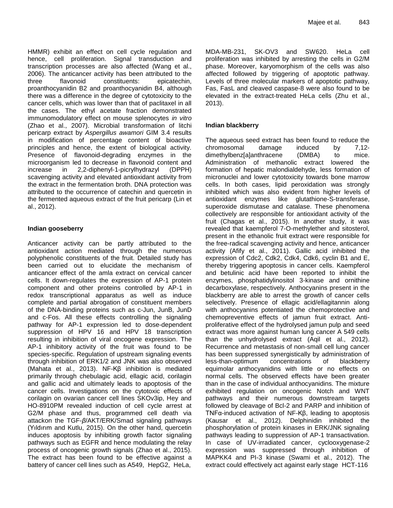HMMR) exhibit an effect on cell cycle regulation and hence, cell proliferation. Signal transduction and transcription processes are also affected (Wang et al., 2006). The anticancer activity has been attributed to the three flavonoid constituents: epicatechin, proanthocyanidin B2 and proanthocyanidin B4, although there was a difference in the degree of cytotoxicity to the cancer cells, which was lower than that of paclitaxel in all the cases. The ethyl acetate fraction demonstrated immunomodulatory effect on mouse splenocytes *in vitro* (Zhao et al., 2007). Microbial transformation of litchi pericarp extract by *Aspergillus awamori* GIM 3.4 results in modification of percentage content of bioactive principles and hence, the extent of biological activity. Presence of flavonoid-degrading enzymes in the microorganism led to decrease in flavonoid content and increase in 2,2-diphenyl-1-picrylhydrazyl (DPPH) scavenging activity and elevated antioxidant activity from the extract in the fermentation broth. DNA protection was attributed to the occurrence of catechin and quercetin in the fermented aqueous extract of the fruit pericarp (Lin et al., 2012).

### **Indian gooseberry**

Anticancer activity can be partly attributed to the antioxidant action mediated through the numerous polyphenolic constituents of the fruit. Detailed study has been carried out to elucidate the mechanism of anticancer effect of the amla extract on cervical cancer cells. It down-regulates the expression of AP-1 protein component and other proteins controlled by AP-1 in redox transcriptional apparatus as well as induce complete and partial abrogation of constituent members of the DNA-binding proteins such as c-Jun, JunB, JunD and c-Fos. All these effects controlling the signaling pathway for AP-1 expression led to dose-dependent suppression of HPV 16 and HPV 18 transcription resulting in inhibition of viral oncogene expression. The AP-1 inhibitory activity of the fruit was found to be species-specific. Regulation of upstream signaling events through inhibition of ERK1/2 and JNK was also observed (Mahata et al., 2013). NF-Κβ inhibition is mediated primarily through chebulagic acid, ellagic acid, corilagin and gallic acid and ultimately leads to apoptosis of the cancer cells. Investigations on the cytotoxic effects of corilagin on ovarian cancer cell lines SKOv3ip, Hey and HO-8910PM revealed induction of cell cycle arrest at G2/M phase and thus, programmed cell death via attackon the TGF-*β*/AKT/ERK/Smad signaling pathways (Yıldırım and Kutlu, 2015). On the other hand, quercetin induces apoptosis by inhibiting growth factor signaling pathways such as EGFR and hence modulating the relay process of oncogenic growth signals (Zhao et al., 2015). The extract has been found to be effective against a battery of cancer cell lines such as A549, HepG2, HeLa,

MDA-MB-231, SK-OV3 and SW620. HeLa cell proliferation was inhibited by arresting the cells in G2/M phase. Moreover, karyomorphism of the cells was also affected followed by triggering of apoptotic pathway. Levels of three molecular markers of apoptotic pathway, Fas, FasL and cleaved caspase-8 were also found to be elevated in the extract-treated HeLa cells (Zhu et al., 2013).

# **Indian blackberry**

The aqueous seed extract has been found to reduce the chromosomal damage induced by 7,12 dimethylbenz[a]anthracene (DMBA) to mice. Administration of methanolic extract lowered the formation of hepatic malondialdehyde, less formation of micronuclei and lower cytotoxicity towards bone marrow cells. In both cases, lipid peroxidation was strongly inhibited which was also evident from higher levels of antioxidant enzymes like glutathione-S-transferase, superoxide dismutase and catalase. These phenomena collectively are responsible for antioxidant activity of the fruit (Chagas et al., 2015). In another study, it was revealed that kaempferol 7-O-methylether and sitosterol, present in the ethanolic fruit extract were responsible for the free-radical scavenging activity and hence, anticancer activity (Afify et al., 2011). Gallic acid inhibited the expression of Cdc2, Cdk2, Cdk4, Cdk6, cyclin B1 and E, thereby triggering apoptosis in cancer cells. Kaempferol and betulinic acid have been reported to inhibit the enzymes, phosphatidylinositol 3-kinase and ornithine decarboxylase, respectively. Anthocyanins present in the blackberry are able to arrest the growth of cancer cells selectively. Presence of ellagic acid/ellagitannin along with anthocyanins potentiated the chemoprotective and chemopreventive effects of jamun fruit extract. Antiproliferative effect of the hydrolysed jamun pulp and seed extract was more against human lung cancer A 549 cells than the unhydrolysed extract (Aqil et al., 2012). Recurrence and metastasis of non-small cell lung cancer has been suppressed synergistically by administration of less-than-optimum concentrations of blackberry equimolar anthocyanidins with little or no effects on normal cells. The observed effects have been greater than in the case of individual anthocyanidins. The mixture exhibited regulation on oncogenic Notch and WNT pathways and their numerous downstream targets followed by cleavage of Bcl-2 and PARP and inhibition of TNFα-induced activation of NF-Κβ, leading to apoptosis (Kausar et al., 2012). Delphinidin inhibited the phosphorylation of protein kinases in ERK/JNK signaling pathways leading to suppression of AP-1 transactivation. In case of UV-irradiated cancer, cyclooxygenase-2 expression was suppressed through inhibition of MAPKK4 and PI-3 kinase (Swami et al., 2012). The extract could effectively act against early stage HCT-116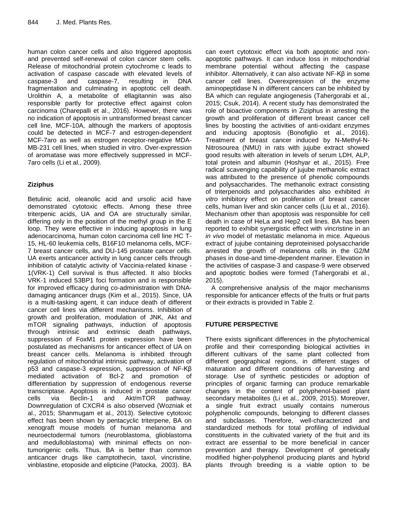human colon cancer cells and also triggered apoptosis and prevented self-renewal of colon cancer stem cells. Release of mitochondrial protein cytochrome c leads to activation of caspase cascade with elevated levels of caspase-3 and caspase-7, resulting in DNA fragmentation and culminating in apoptotic cell death. Urolithin A, a metabolite of ellagitannin was also responsible partly for protective effect against colon carcinoma (Charepalli et al., 2016). However, there was no indication of apoptosis in untransformed breast cancer cell line, MCF-10A, although the markers of apoptosis could be detected in MCF-7 and estrogen-dependent MCF-7aro as well as estrogen receptor-negative MDA-MB-231 cell lines, when studied in vitro. Over-expression of aromatase was more effectively suppressed in MCF-7aro cells (Li et al., 2009).

# **Ziziphus**

Betulinic acid, oleanolic acid and ursolic acid have demonstrated cytotoxic effects. Among these three triterpenic acids, UA and OA are structurally similar, differing only in the position of the methyl group in the E loop. They were effective in inducing apoptosis in lung adenocarcinoma, human colon carcinoma cell line HC T-15, HL-60 leukemia cells, B16F10 melanoma cells, MCF-7 breast cancer cells, and DU-145 prostate cancer cells. UA exerts anticancer activity in lung cancer cells through inhibition of catalytic activity of Vaccinia-related kinase - 1(VRK-1) Cell survival is thus affected. It also blocks VRK-1 induced 53BP1 foci formation and is responsible for improved efficacy during co-administration with DNAdamaging anticancer drugs (Kim et al., 2015). Since, UA is a multi-tasking agent, it can induce death of different cancer cell lines via different mechanisms. Inhibition of growth and proliferation, modulation of JNK, Akt and mTOR signaling pathways, induction of apoptosis through intrinsic and extrinsic death pathways, suppression of FoxM1 protein expression have been postulated as mechanisms for anticancer effect of UA on breast cancer cells. Melanoma is inhibited through regulation of mitochondrial intrinsic pathway, activation of p53 and caspase-3 expression, suppression of NF-Κβ mediated activation of Bcl-2 and promotion of differentiation by suppression of endogenous reverse transcriptase. Apoptosis is induced in prostate cancer cells via Beclin-1 and Akt/mTOR pathway. Downregulation of CXCR4 is also observed (Wozniak et al., 2015; Shanmugam et al., 2013). Selective cytotoxic effect has been shown by pentacyclic triterpene, BA on xenograft mouse models of human melanoma and neuroectodermal tumors (neuroblastoma, glioblastoma and medulloblastoma) with minimal effects on nontumorigenic cells. Thus, BA is better than common anticancer drugs like camptothecin, taxol, vincristine, vinblastine, etoposide and elipticine (Patocka, 2003). BA

can exert cytotoxic effect via both apoptotic and nonapoptotic pathways. It can induce loss in mitochondrial membrane potential without affecting the caspase inhibitor. Alternatively, it can also activate NF-Κβ in some cancer cell lines. Overexpression of the enzyme aminopeptidase N in different cancers can be inhibited by BA which can regulate angiogenesis (Tahergorabi et al., 2015; Csuk, 2014). A recent study has demonstrated the role of bioactive components in Ziziphus in arresting the growth and proliferation of different breast cancer cell lines by boosting the activities of anti-oxidant enzymes and inducing apoptosis (Bonofiglio et al., 2016). Treatment of breast cancer induced by N-Methyl-N-Nitrosourea (NMU) in rats with jujube extract showed good results with alteration in levels of serum LDH, ALP, total protein and albumin (Hoshyar et al., 2015). Free radical scavenging capability of jujube methanolic extract was attributed to the presence of phenolic compounds and polysaccharides. The methanolic extract consisting of triterpenoids and polysaccharides also exhibited *in vitro* inhibitory effect on proliferation of breast cancer cells, human liver and skin cancer cells (Liu et al., 2016). Mechanism other than apoptosis was responsible for cell death in case of HeLa and Hep2 cell lines. BA has been reported to exhibit synergistic effect with vincristine in an *in vivo* model of metastatic melanoma in mice. Aqueous extract of jujube containing deproteinised polysaccharide arrested the growth of melanoma cells in the G2/M phases in dose-and time-dependent manner. Elevation in the activities of caspase-3 and caspase-9 were observed and apoptotic bodies were formed (Tahergorabi et al., 2015).

A comprehensive analysis of the major mechanisms responsible for anticancer effects of the fruits or fruit parts or their extracts is provided in Table 2.

# **FUTURE PERSPECTIVE**

There exists significant differences in the phytochemical profile and their corresponding biological activities in different cultivars of the same plant collected from different geographical regions, in different stages of maturation and different conditions of harvesting and storage. Use of synthetic pesticides or adoption of principles of organic farming can produce remarkable changes in the content of polyphenol-based plant secondary metabolites (Li et al., 2009, 2015). Moreover, a single fruit extract usually contains numerous polyphenolic compounds, belonging to different classes and subclasses. Therefore, well-characterized and standardized methods for total profiling of individual constituents in the cultivated variety of the fruit and its extract are essential to be more beneficial in cancer prevention and therapy. Development of genetically modified higher-polyphenol producing plants and hybrid plants through breeding is a viable option to be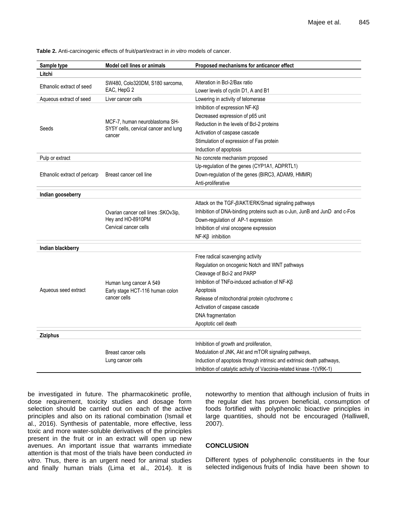| Sample type                   | Model cell lines or animals                                                      | Proposed mechanisms for anticancer effect                                 |
|-------------------------------|----------------------------------------------------------------------------------|---------------------------------------------------------------------------|
| Litchi                        |                                                                                  |                                                                           |
| Ethanolic extract of seed     | SW480, Colo320DM, S180 sarcoma,<br>EAC, HepG 2                                   | Alteration in Bcl-2/Bax ratio                                             |
|                               |                                                                                  | Lower levels of cyclin D1, A and B1                                       |
| Aqueous extract of seed       | Liver cancer cells                                                               | Lowering in activity of telomerase                                        |
| Seeds                         | MCF-7, human neuroblastoma SH-<br>SY5Y cells, cervical cancer and lung<br>cancer | Inhibition of expression NF-Kß                                            |
|                               |                                                                                  | Decreased expression of p65 unit                                          |
|                               |                                                                                  | Reduction in the levels of Bcl-2 proteins                                 |
|                               |                                                                                  | Activation of caspase cascade                                             |
|                               |                                                                                  | Stimulation of expression of Fas protein                                  |
|                               |                                                                                  | Induction of apoptosis                                                    |
| Pulp or extract               |                                                                                  | No concrete mechanism proposed                                            |
|                               |                                                                                  | Up-regulation of the genes (CYP1A1, ADPRTL1)                              |
| Ethanolic extract of pericarp | Breast cancer cell line                                                          | Down-regulation of the genes (BIRC3, ADAM9, HMMR)                         |
|                               |                                                                                  | Anti-proliferative                                                        |
| Indian gooseberry             |                                                                                  |                                                                           |
|                               |                                                                                  | Attack on the TGF-ß/AKT/ERK/Smad signaling pathways                       |
|                               | Ovarian cancer cell lines : SKOv3ip,                                             | Inhibition of DNA-binding proteins such as c-Jun, JunB and JunD and c-Fos |
|                               | Hey and HO-8910PM<br>Cervical cancer cells                                       | Down-regulation of AP-1 expression                                        |
|                               |                                                                                  | Inhibition of viral oncogene expression                                   |
|                               |                                                                                  | NF-Kβ inhibition                                                          |
| Indian blackberry             |                                                                                  |                                                                           |
|                               |                                                                                  | Free radical scavenging activity                                          |
|                               |                                                                                  | Regulation on oncogenic Notch and WNT pathways                            |
|                               |                                                                                  | Cleavage of Bcl-2 and PARP                                                |
|                               | Human lung cancer A 549                                                          | Inhibition of TNFa-induced activation of NF-Kß                            |
| Aqueous seed extract          | Early stage HCT-116 human colon                                                  | Apoptosis                                                                 |
|                               | cancer cells                                                                     | Release of mitochondrial protein cytochrome c                             |
|                               |                                                                                  | Activation of caspase cascade                                             |
|                               |                                                                                  | DNA fragmentation                                                         |
|                               |                                                                                  | Apoptotic cell death                                                      |
| <b>Ziziphus</b>               |                                                                                  |                                                                           |
|                               |                                                                                  | Inhibition of growth and proliferation,                                   |
|                               | Breast cancer cells                                                              | Modulation of JNK, Akt and mTOR signaling pathways,                       |
|                               | Lung cancer cells                                                                | Induction of apoptosis through intrinsic and extrinsic death pathways,    |
|                               |                                                                                  | Inhibition of catalytic activity of Vaccinia-related kinase -1(VRK-1)     |

**Table 2.** Anti-carcinogenic effects of fruit/part/extract in *in vitro* models of cancer.

be investigated in future. The pharmacokinetic profile, dose requirement, toxicity studies and dosage form selection should be carried out on each of the active principles and also on its rational combination (Ismail et al., 2016). Synthesis of patentable, more effective, less toxic and more water-soluble derivatives of the principles present in the fruit or in an extract will open up new avenues. An important issue that warrants immediate attention is that most of the trials have been conducted *in vitro*. Thus, there is an urgent need for animal studies and finally human trials (Lima et al., 2014). It is

noteworthy to mention that although inclusion of fruits in the regular diet has proven beneficial, consumption of foods fortified with polyphenolic bioactive principles in large quantities, should not be encouraged (Halliwell, 2007).

#### **CONCLUSION**

Different types of polyphenolic constituents in the four selected indigenous fruits of India have been shown to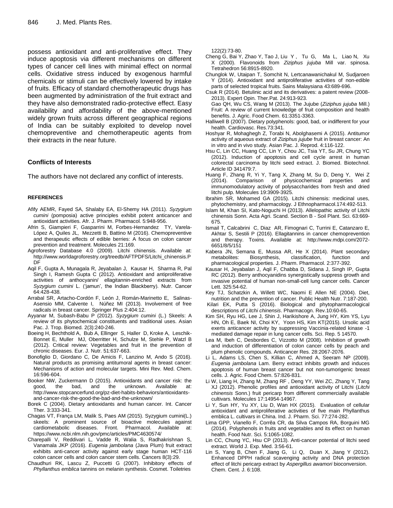possess antioxidant and anti-proliferative effect. They induce apoptosis via different mechanisms on different types of cancer cell lines with minimal effect on normal cells. Oxidative stress induced by exogenous harmful chemicals or stimuli can be effectively lowered by intake of fruits. Efficacy of standard chemotherapeutic drugs has been augmented by administration of the fruit extract and they have also demonstrated radio-protective effect. Easy availability and affordability of the above-mentioned widely grown fruits across different geographical regions of India can be suitably exploited to develop novel chemopreventive and chemotherapeutic agents from their extracts in the near future.

#### **Conflicts of Interests**

The authors have not declared any conflict of interests.

#### **REFERENCES**

- Afify AEMR, Fayed SA, Shalaby EA, El-Shemy HA (2011). *Syzygium cumini* (pomposia) active principles exhibit potent anticancer and antioxidant activities. Afr. J. Pharm. Pharmacol. 5:948-956.
- Afrin S, Giampieri F, Gasparrini M, Forbes-Hernandez TY, Varela-López A, Quiles JL, Mezzetti B, Battino M (2016). Chemopreventive and therapeutic effects of edible berries: A focus on colon cancer prevention and treatment. Molecules 21:169.
- Agroforestry Database 4.0 (2009). Litchi chinensis. Available at: http://www.worldagroforestry.org/treedb/AFTPDFS/Litchi\_chinensis.P **DF**
- Aqil F, Gupta A, Munagala R, Jeyabalan J, Kausar H, Sharma R, Pal Singh I, Ramesh Gupta C (2012). Antioxidant and antiproliferative activities of anthocyanin/ ellagitannin-enriched extracts from *Syzygium cumini* L. ("jamun", the Indian Blackberry). Nutr. Cancer 64:428-438.
- Arrabal SR, Artacho-Cordón F, León J, Román-Marinetto E, Salinas-Asensio MM, Calvente I, Núñez MI (2013). Involvement of free radicals in breast cancer. Springer Plus 2:404:12.
- Ayyanar M, Subash-Babu P (2012). *Syzygium cumini* (L.) Skeels: A review of its phytochemical constituents and traditional uses. Asian Pac. J. Trop. Biomed. 2(3):240-246.
- Boeing H, Bechthold A, Bub A, Ellinger S, Haller D, Kroke A, Leschik-Bonnet E, Muller MJ, Oberritter H, Schulze M, Stehle P, Watzl B (2012). Critical review: Vegetables and fruit in the prevention of chronic diseases. Eur. J. Nutr. 51:637-663.
- Bonofiglio D, Giordano C, De Amicis F, Lanzino M, Ando S (2016). Natural products as promising antitumoral agents in breast cancer: Mechanisms of action and molecular targets. Mini Rev. Med. Chem. 16:596-604.
- Booker NW, Zuckermann D (2015). Antioxidants and cancer risk: the good, the bad, and the unknown. Available at: http://www.stopcancerfund.org/pz-diet-habits-behaviors/antioxidantsand-cancer-risk-the-good-the-bad-and-the-unknown/
- Borek C (2004). Dietary antioxidants and human cancer. Int. Cancer Ther. 3:333-341.
- Chagas VT, França LM, Malik S, Paes AM (2015). Syzygium cumini(L.) skeels: A prominent source of bioactive molecules against cardiometabolic diseases. Front. Pharmacol. Available at: https://www.ncbi.nlm.nih.gov/pmc/articles/PMC4630574/
- Charepalli V, Reddivari L, Vadde R, Walia S, Radhakrishnan S, Vanamala JKP (2016). *Eugenia jambolana* (Java Plum) fruit extract exhibits anti-cancer activity against early stage human HCT-116 colon cancer cells and colon cancer stem cells. Cancers 8(3):29.
- Chaudhuri RK, Lascu Z, Puccetti G (2007). Inhibitory effects of *Phyllanthus emblica* tannins on melanin synthesis. Cosmet. Toiletries

122(2):73-80.

- Cheng G, Bai Y, Zhao Y, Tao J, Liu Y , Tu G, Ma L, Liao N, Xu X (2000). Flavonoids from *Ziziphus jujuba* Mill var. spinosa. Tetrahedron 56:8915-8920.
- Chunglok W, Utaipan T, Somchit N, Lertcanawanichakul M, Sudjaroen Y (2014). Antioxidant and antiproliferative activities of non-edible parts of selected tropical fruits. Sains Malaysiana 43:689-696.
- Csuk R (2014). Betulinic acid and its derivatives: a patent review (2008- 2013). Expert Opin. Ther.Pat. 24:913-923.
- Gao QH, Wu CS, Wang M (2013). The Jujube (*Ziziphus jujuba* Mill.) Fruit: A review of current knowledge of fruit composition and health benefits. J. Agric. Food Chem. 61:3351-3363.
- Halliwell B (2007). Dietary polyphenols: good, bad, or indifferent for your health. Cardiovasc. Res.73:341.
- Hoshyar R, Mohaghegh Z, Torabi N, Abolghasemi A (2015). Antitumor activity of aqueous extract of *Ziziphus jujube* fruit in breast cancer: An in vitro and in vivo study. Asian Pac. J. Reprod. 4:116-122.
- Hsu C, Lin CC, Huang CC, Lin Y, Chou JC, Tsia YT, Su JR, Chung YC (2012). Induction of apoptosis and cell cycle arrest in human colorectal carcinoma by litchi seed extract. J. Biomed. Biotechnol. Article ID 341479:7.
- Huang F, Zhang R, Yi Y, Tang X, Zhang M, Su D, Deng Y, Wei Z (2014). Comparison of physicochemical properties and immunomodulatory activity of polysaccharides from fresh and dried litchi pulp. Molecules 19:3909-3925.
- Ibrahim SR, Mohamed GA (2015). Litchi chinensis: medicinal uses, phytochemistry, and pharmacology. J Ethnopharmacol.174:492-513.
- Islam M, Khan SI, Kato-Noguchi H (2013). Allelopathic activity of Litchi chinensis Sonn. Acta Agri. Scand. Section B - Soil Plant. Sci. 63:669- 675.
- Ismail T, Calcabrini C, Diaz AR, Fimognari C, Turrini E, Catanzaro E, Akhtar S, Sestili P (2016). Ellagitannins in cancer chemoprevention and therapy. Toxins. Available at: http://www.mdpi.com/2072- 6651/8/5/151
- Kabera JN, Semana E, Mussa AR, He X (2014). Plant secondary metabolites: Biosynthesis, classification, function and pharmacological properties. J. Pharm. Pharmacol. 2:377-392.
- Kausar H, Jeyabalan J, Aqil F, Chabba D, Sidana J, Singh IP, Gupta RC (2012). Berry anthocyanidins synergistically suppress growth and invasive potential of human non-small-cell lung cancer cells. Cancer Lett. 325:54-62.
- Key TJ, Schatzkin A, Willett WC, Naomi E Allen NE (2004). Diet, nutrition and the prevention of cancer. Public Health Nutr. 7:187-200.
- Kilari EK, Putta S (2016). Biological and phytopharmacological descriptions of *Litchi chinensis*. Pharmacogn. Rev.10:60-65.
- Kim SH, Ryu HG, Lee J, Shin J, Harikishore A, Jung HY, Kim YS, Lyu HN, Oh E, Baek NI, Choi KY, Yoon HS, Kim KT(2015). Ursolic acid exerts anticancer activity by suppressing Vaccinia-related kinase -1 mediated damage repair in lung cancer cells. Sci. Rep. 5 14570.
- Lea M, Ibeh C, Desbordes C, Vizzotto M (2008). Inhibition of growth and induction of differentiation of colon cancer cells by peach and plum phenolic compounds. Anticancer Res. 28:2067-2076.
- Li L, Adams LS, Chen S, Killian C, Ahmed A, Seeram NP (2009). *Eugenia jambolana* Lam. Berry extract inhibits growth and induces apoptosis of human breast cancer but not non-tumorigenic breast cells. J. Agric. Food Chem. 57:826-831.
- Li W, Liang H, Zhang M, Zhang RF , Deng YY, Wei ZC, Zhang Y, Tang XJ (2012). Phenolic profiles and antioxidant activity of Litchi (*Litchi chinensis* Sonn.) fruit pericarp from different commercially available cultivars. Molecules 17:14954-14967.
- Li Y, Sun HY, Yu XY, Liu D, Wan HX (2015). Evaluation of cellular antioxidant and antiproliferative activities of five main Phyllanthus emblica L. cultivars in China. Ind. J. Pharm. Sci. 77:274-282.
- Lima GPP, Vianello F, Corrêa CR, da Silva Campos RA, Borguini MG (2014). Polyphenols in fruits and vegetables and its effect on human health. Food Nutr. Sci. 5:1065-1082.
- Lin CC, Chung YC, Hsu CP (2013). Anti-cancer potential of litchi seed extract. World J. Exp. Med. 3:56-61.
- Lin S, Yang B, Chen F, Jiang G, Li Q, Duan X, Jiang Y (2012). Enhanced DPPH radical scavenging activity and DNA protection effect of litchi pericarp extract by *Aspergillus awamori* bioconversion. Chem. Cent. J. 6:108.